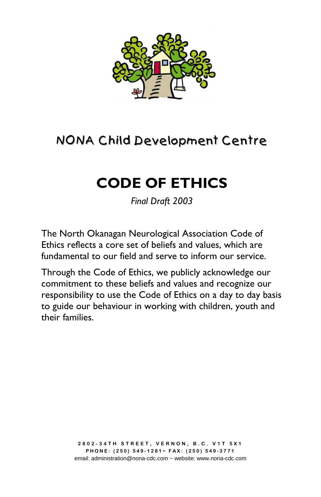

# NONA Child Development Centre

# **CODE OF ETHICS**

*Final Draft 2003* 

The North Okanagan Neurological Association Code of Ethics reflects a core set of beliefs and values, which are fundamental to our field and serve to inform our service.

Through the Code of Ethics, we publicly acknowledge our commitment to these beliefs and values and recognize our responsibility to use the Code of Ethics on a day to day basis to guide our behaviour in working with children, youth and their families.

> **2802-34TH STREET, VERNON, B.C. V1T 5X1 PHONE: (250) 549-1281~ FAX: (250) 549-3771**  email: administration@nona-cdc.com ~ website: www.nona-cdc.com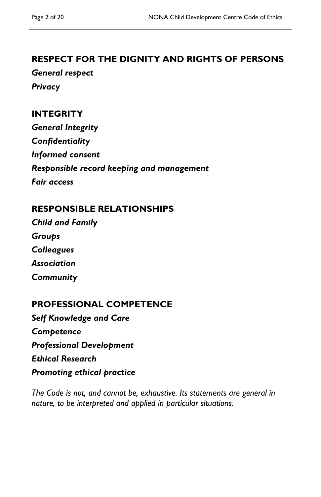# **RESPECT FOR THE DIGNITY AND RIGHTS OF PERSONS**

*General respect Privacy* 

## **INTEGRITY**

*General Integrity Confidentiality Informed consent Responsible record keeping and management Fair access* 

## **RESPONSIBLE RELATIONSHIPS**

*Child and Family Groups Colleagues Association Community* 

# **PROFESSIONAL COMPETENCE**

*Self Knowledge and Care Competence Professional Development Ethical Research Promoting ethical practice* 

*The Code is not, and cannot be, exhaustive. Its statements are general in nature, to be interpreted and applied in particular situations.*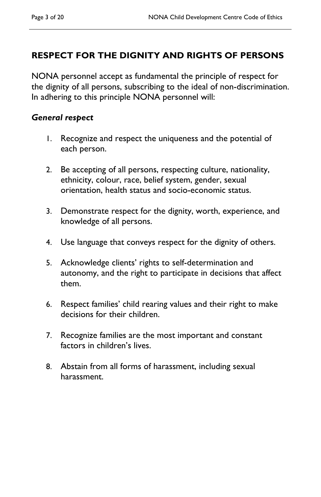# **RESPECT FOR THE DIGNITY AND RIGHTS OF PERSONS**

NONA personnel accept as fundamental the principle of respect for the dignity of all persons, subscribing to the ideal of non-discrimination. In adhering to this principle NONA personnel will:

#### *General respect*

- 1. Recognize and respect the uniqueness and the potential of each person.
- 2. Be accepting of all persons, respecting culture, nationality, ethnicity, colour, race, belief system, gender, sexual orientation, health status and socio-economic status.
- 3. Demonstrate respect for the dignity, worth, experience, and knowledge of all persons.
- 4. Use language that conveys respect for the dignity of others.
- 5. Acknowledge clients' rights to self-determination and autonomy, and the right to participate in decisions that affect them.
- 6. Respect families' child rearing values and their right to make decisions for their children.
- 7. Recognize families are the most important and constant factors in children's lives.
- 8. Abstain from all forms of harassment, including sexual harassment.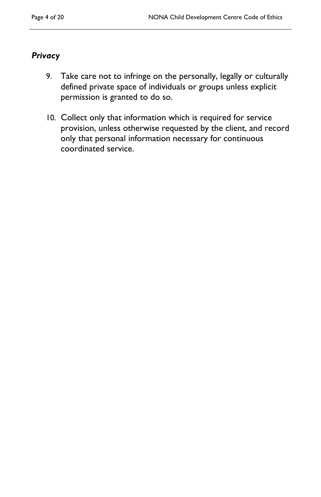### *Privacy*

- 9. Take care not to infringe on the personally, legally or culturally defined private space of individuals or groups unless explicit permission is granted to do so.
- 10. Collect only that information which is required for service provision, unless otherwise requested by the client, and record only that personal information necessary for continuous coordinated service.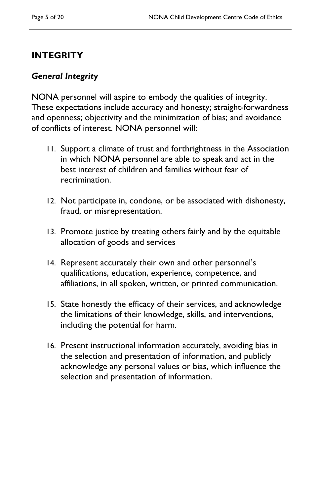# **INTEGRITY**

### *General Integrity*

NONA personnel will aspire to embody the qualities of integrity. These expectations include accuracy and honesty; straight-forwardness and openness; objectivity and the minimization of bias; and avoidance of conflicts of interest. NONA personnel will:

- 11. Support a climate of trust and forthrightness in the Association in which NONA personnel are able to speak and act in the best interest of children and families without fear of recrimination.
- 12. Not participate in, condone, or be associated with dishonesty, fraud, or misrepresentation.
- 13. Promote justice by treating others fairly and by the equitable allocation of goods and services
- 14. Represent accurately their own and other personnel's qualifications, education, experience, competence, and affiliations, in all spoken, written, or printed communication.
- 15. State honestly the efficacy of their services, and acknowledge the limitations of their knowledge, skills, and interventions, including the potential for harm.
- 16. Present instructional information accurately, avoiding bias in the selection and presentation of information, and publicly acknowledge any personal values or bias, which influence the selection and presentation of information.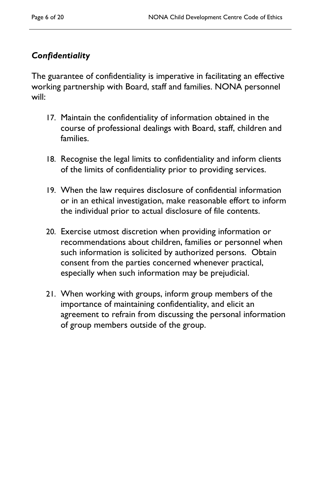# *Confidentiality*

The guarantee of confidentiality is imperative in facilitating an effective working partnership with Board, staff and families. NONA personnel will:

- 17. Maintain the confidentiality of information obtained in the course of professional dealings with Board, staff, children and families.
- 18. Recognise the legal limits to confidentiality and inform clients of the limits of confidentiality prior to providing services.
- 19. When the law requires disclosure of confidential information or in an ethical investigation, make reasonable effort to inform the individual prior to actual disclosure of file contents.
- 20. Exercise utmost discretion when providing information or recommendations about children, families or personnel when such information is solicited by authorized persons. Obtain consent from the parties concerned whenever practical, especially when such information may be prejudicial.
- 21. When working with groups, inform group members of the importance of maintaining confidentiality, and elicit an agreement to refrain from discussing the personal information of group members outside of the group.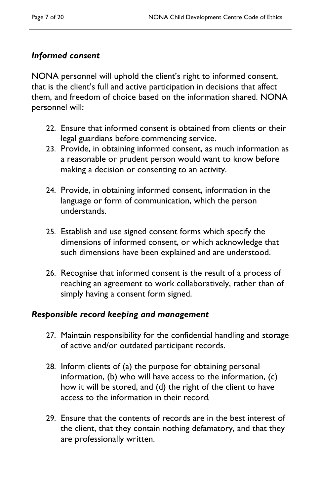## *Informed consent*

NONA personnel will uphold the client's right to informed consent, that is the client's full and active participation in decisions that affect them, and freedom of choice based on the information shared. NONA personnel will:

- 22. Ensure that informed consent is obtained from clients or their legal guardians before commencing service.
- 23. Provide, in obtaining informed consent, as much information as a reasonable or prudent person would want to know before making a decision or consenting to an activity.
- 24. Provide, in obtaining informed consent, information in the language or form of communication, which the person understands.
- 25. Establish and use signed consent forms which specify the dimensions of informed consent, or which acknowledge that such dimensions have been explained and are understood.
- 26. Recognise that informed consent is the result of a process of reaching an agreement to work collaboratively, rather than of simply having a consent form signed.

#### *Responsible record keeping and management*

- 27. Maintain responsibility for the confidential handling and storage of active and/or outdated participant records.
- 28. Inform clients of (a) the purpose for obtaining personal information, (b) who will have access to the information, (c) how it will be stored, and (d) the right of the client to have access to the information in their record*.*
- 29. Ensure that the contents of records are in the best interest of the client, that they contain nothing defamatory, and that they are professionally written.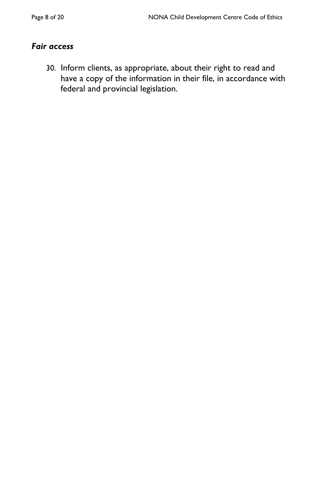#### *Fair access*

30. Inform clients, as appropriate, about their right to read and have a copy of the information in their file, in accordance with federal and provincial legislation.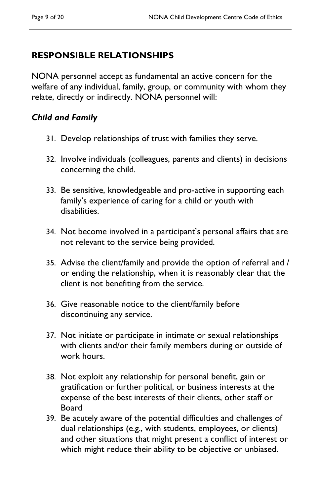# **RESPONSIBLE RELATIONSHIPS**

NONA personnel accept as fundamental an active concern for the welfare of any individual, family, group, or community with whom they relate, directly or indirectly. NONA personnel will:

## *Child and Family*

- 31. Develop relationships of trust with families they serve.
- 32. Involve individuals (colleagues, parents and clients) in decisions concerning the child.
- 33. Be sensitive, knowledgeable and pro-active in supporting each family's experience of caring for a child or youth with disabilities.
- 34. Not become involved in a participant's personal affairs that are not relevant to the service being provided.
- 35. Advise the client/family and provide the option of referral and / or ending the relationship, when it is reasonably clear that the client is not benefiting from the service.
- 36. Give reasonable notice to the client/family before discontinuing any service.
- 37. Not initiate or participate in intimate or sexual relationships with clients and/or their family members during or outside of work hours.
- 38. Not exploit any relationship for personal benefit, gain or gratification or further political, or business interests at the expense of the best interests of their clients, other staff or Board
- 39. Be acutely aware of the potential difficulties and challenges of dual relationships (e.g., with students, employees, or clients) and other situations that might present a conflict of interest or which might reduce their ability to be objective or unbiased.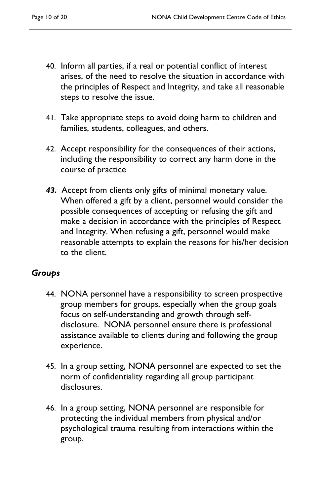- 40. Inform all parties, if a real or potential conflict of interest arises, of the need to resolve the situation in accordance with the principles of Respect and Integrity, and take all reasonable steps to resolve the issue.
- 41. Take appropriate steps to avoid doing harm to children and families, students, colleagues, and others.
- 42. Accept responsibility for the consequences of their actions, including the responsibility to correct any harm done in the course of practice
- *43.* Accept from clients only gifts of minimal monetary value. When offered a gift by a client, personnel would consider the possible consequences of accepting or refusing the gift and make a decision in accordance with the principles of Respect and Integrity. When refusing a gift, personnel would make reasonable attempts to explain the reasons for his/her decision to the client.

#### *Groups*

- 44. NONA personnel have a responsibility to screen prospective group members for groups, especially when the group goals focus on self-understanding and growth through selfdisclosure. NONA personnel ensure there is professional assistance available to clients during and following the group experience.
- 45. In a group setting, NONA personnel are expected to set the norm of confidentiality regarding all group participant disclosures.
- 46. In a group setting, NONA personnel are responsible for protecting the individual members from physical and/or psychological trauma resulting from interactions within the group.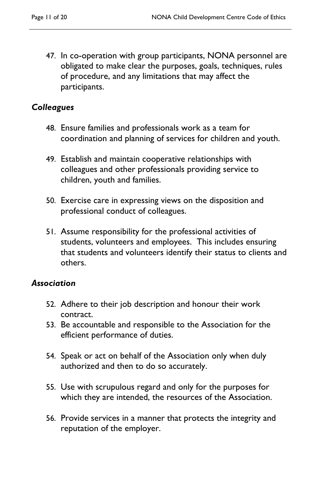47. In co-operation with group participants, NONA personnel are obligated to make clear the purposes, goals, techniques, rules of procedure, and any limitations that may affect the participants.

#### *Colleagues*

- 48. Ensure families and professionals work as a team for coordination and planning of services for children and youth.
- 49. Establish and maintain cooperative relationships with colleagues and other professionals providing service to children, youth and families.
- 50. Exercise care in expressing views on the disposition and professional conduct of colleagues.
- 51. Assume responsibility for the professional activities of students, volunteers and employees. This includes ensuring that students and volunteers identify their status to clients and others.

#### *Association*

- 52. Adhere to their job description and honour their work contract.
- 53. Be accountable and responsible to the Association for the efficient performance of duties.
- 54. Speak or act on behalf of the Association only when duly authorized and then to do so accurately.
- 55. Use with scrupulous regard and only for the purposes for which they are intended, the resources of the Association.
- 56. Provide services in a manner that protects the integrity and reputation of the employer.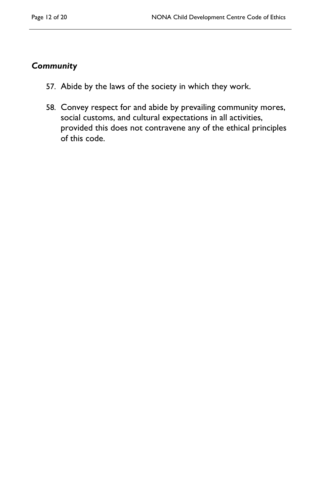#### *Community*

- 57. Abide by the laws of the society in which they work.
- 58. Convey respect for and abide by prevailing community mores, social customs, and cultural expectations in all activities, provided this does not contravene any of the ethical principles of this code.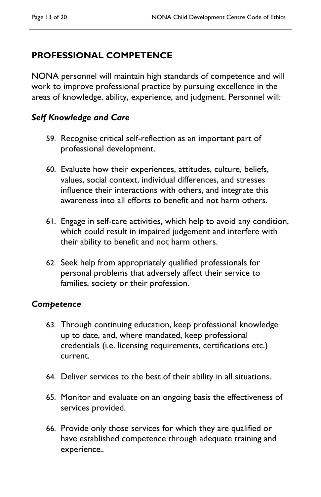# **PROFESSIONAL COMPETENCE**

NONA personnel will maintain high standards of competence and will work to improve professional practice by pursuing excellence in the areas of knowledge, ability, experience, and judgment. Personnel will:

## *Self Knowledge and Care*

- 59. Recognise critical self-reflection as an important part of professional development.
- 60. Evaluate how their experiences, attitudes, culture, beliefs, values, social context, individual differences, and stresses influence their interactions with others, and integrate this awareness into all efforts to benefit and not harm others.
- 61. Engage in self-care activities, which help to avoid any condition, which could result in impaired judgement and interfere with their ability to benefit and not harm others.
- 62. Seek help from appropriately qualified professionals for personal problems that adversely affect their service to families, society or their profession.

#### *Competence*

- 63. Through continuing education, keep professional knowledge up to date, and, where mandated, keep professional credentials (i.e. licensing requirements, certifications etc.) current.
- 64. Deliver services to the best of their ability in all situations.
- 65. Monitor and evaluate on an ongoing basis the effectiveness of services provided.
- 66. Provide only those services for which they are qualified or have established competence through adequate training and experience*..*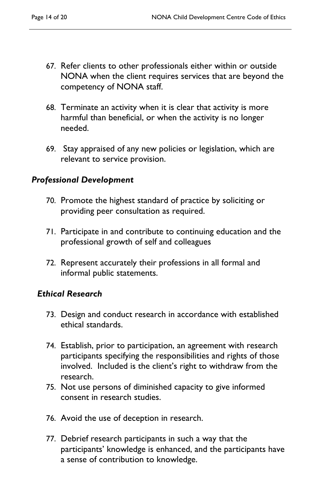- 67. Refer clients to other professionals either within or outside NONA when the client requires services that are beyond the competency of NONA staff.
- 68. Terminate an activity when it is clear that activity is more harmful than beneficial, or when the activity is no longer needed.
- 69. Stay appraised of any new policies or legislation, which are relevant to service provision.

### *Professional Development*

- 70. Promote the highest standard of practice by soliciting or providing peer consultation as required.
- 71. Participate in and contribute to continuing education and the professional growth of self and colleagues
- 72. Represent accurately their professions in all formal and informal public statements.

## *Ethical Research*

- 73. Design and conduct research in accordance with established ethical standards.
- 74. Establish, prior to participation, an agreement with research participants specifying the responsibilities and rights of those involved. Included is the client's right to withdraw from the research.
- 75. Not use persons of diminished capacity to give informed consent in research studies.
- 76. Avoid the use of deception in research.
- 77. Debrief research participants in such a way that the participants' knowledge is enhanced, and the participants have a sense of contribution to knowledge.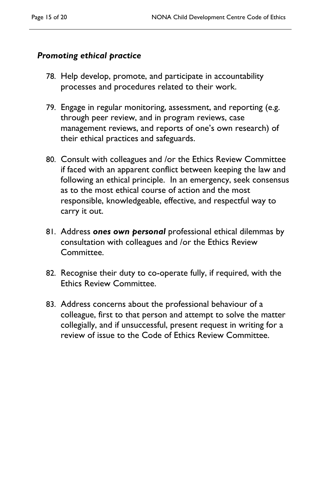## *Promoting ethical practice*

- 78. Help develop, promote, and participate in accountability processes and procedures related to their work.
- 79. Engage in regular monitoring, assessment, and reporting (e.g. through peer review, and in program reviews, case management reviews, and reports of one's own research) of their ethical practices and safeguards.
- 80. Consult with colleagues and /or the Ethics Review Committee if faced with an apparent conflict between keeping the law and following an ethical principle. In an emergency, seek consensus as to the most ethical course of action and the most responsible, knowledgeable, effective, and respectful way to carry it out.
- 81. Address *ones own personal* professional ethical dilemmas by consultation with colleagues and /or the Ethics Review Committee.
- 82. Recognise their duty to co-operate fully, if required, with the Ethics Review Committee.
- 83. Address concerns about the professional behaviour of a colleague, first to that person and attempt to solve the matter collegially, and if unsuccessful, present request in writing for a review of issue to the Code of Ethics Review Committee.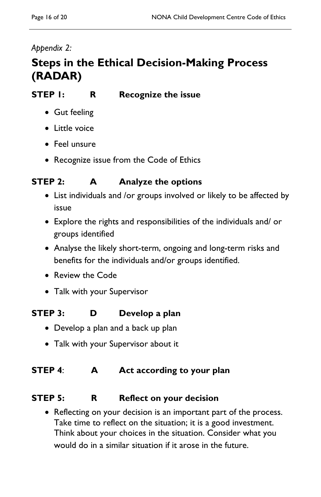# *Appendix 2:*

# **Steps in the Ethical Decision-Making Process (RADAR)**

# **STEP 1:** R Recognize the issue

- Gut feeling
- Little voice
- Feel unsure
- Recognize issue from the Code of Ethics

# **STEP 2:** A Analyze the options

- List individuals and /or groups involved or likely to be affected by issue
- Explore the rights and responsibilities of the individuals and/ or groups identified
- Analyse the likely short-term, ongoing and long-term risks and benefits for the individuals and/or groups identified.
- Review the Code
- Talk with your Supervisor

# **STEP 3:** D Develop a plan

- Develop a plan and a back up plan
- Talk with your Supervisor about it

## **STEP 4:** A Act according to your plan

## **STEP 5:** R Reflect on your decision

 Reflecting on your decision is an important part of the process. Take time to reflect on the situation; it is a good investment. Think about your choices in the situation. Consider what you would do in a similar situation if it arose in the future.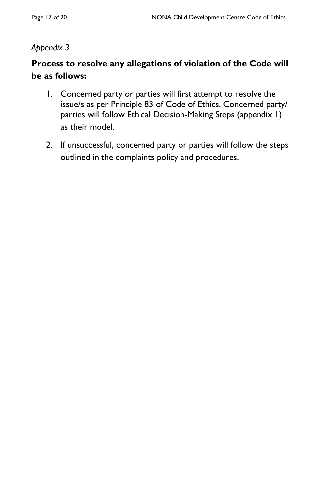## *Appendix 3*

# **Process to resolve any allegations of violation of the Code will be as follows:**

- 1. Concerned party or parties will first attempt to resolve the issue/s as per Principle 83 of Code of Ethics. Concerned party/ parties will follow Ethical Decision-Making Steps (appendix 1) as their model.
- 2. If unsuccessful, concerned party or parties will follow the steps outlined in the complaints policy and procedures.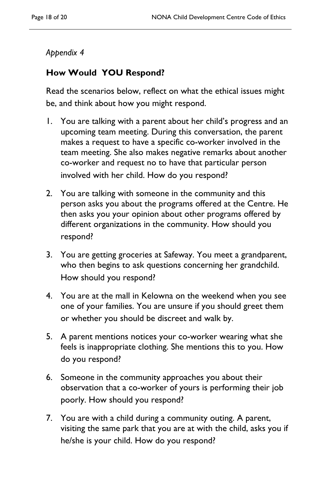## *Appendix 4*

# **How Would YOU Respond?**

Read the scenarios below, reflect on what the ethical issues might be, and think about how you might respond.

- 1. You are talking with a parent about her child's progress and an upcoming team meeting. During this conversation, the parent makes a request to have a specific co-worker involved in the team meeting. She also makes negative remarks about another co-worker and request no to have that particular person involved with her child. How do you respond?
- 2. You are talking with someone in the community and this person asks you about the programs offered at the Centre. He then asks you your opinion about other programs offered by different organizations in the community. How should you respond?
- 3. You are getting groceries at Safeway. You meet a grandparent, who then begins to ask questions concerning her grandchild. How should you respond?
- 4. You are at the mall in Kelowna on the weekend when you see one of your families. You are unsure if you should greet them or whether you should be discreet and walk by.
- 5. A parent mentions notices your co-worker wearing what she feels is inappropriate clothing. She mentions this to you. How do you respond?
- 6. Someone in the community approaches you about their observation that a co-worker of yours is performing their job poorly. How should you respond?
- 7. You are with a child during a community outing. A parent, visiting the same park that you are at with the child, asks you if he/she is your child. How do you respond?